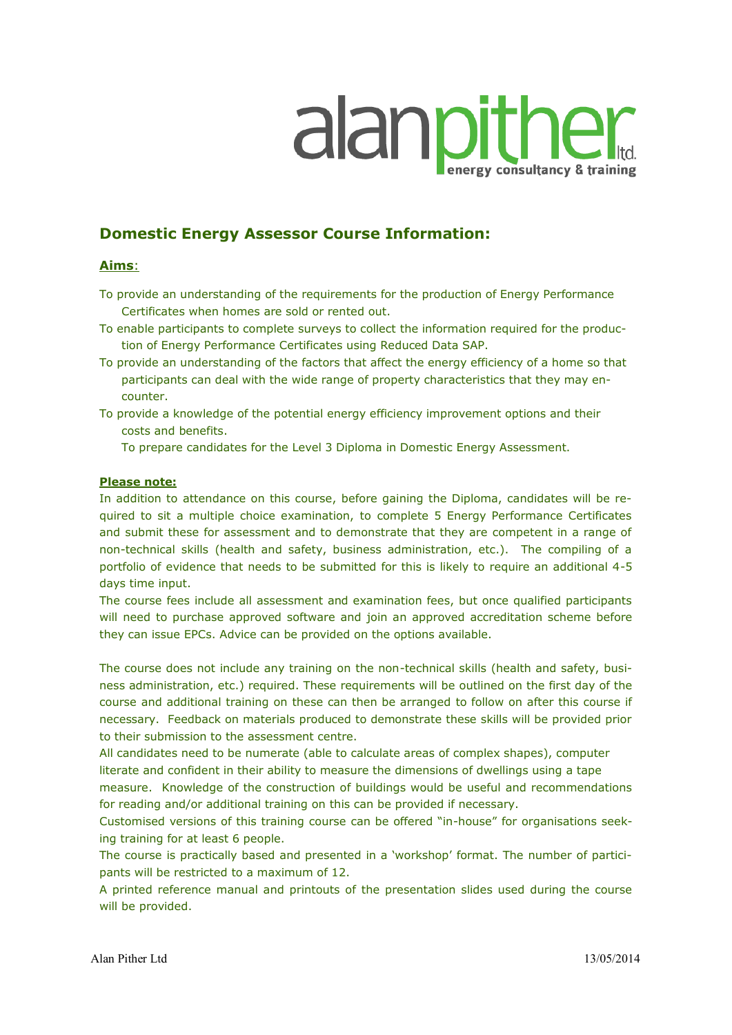# alanpither

# **Domestic Energy Assessor Course Information:**

# **Aims**:

- To provide an understanding of the requirements for the production of Energy Performance Certificates when homes are sold or rented out.
- To enable participants to complete surveys to collect the information required for the production of Energy Performance Certificates using Reduced Data SAP.
- To provide an understanding of the factors that affect the energy efficiency of a home so that participants can deal with the wide range of property characteristics that they may encounter.
- To provide a knowledge of the potential energy efficiency improvement options and their costs and benefits.

To prepare candidates for the Level 3 Diploma in Domestic Energy Assessment.

# **Please note:**

In addition to attendance on this course, before gaining the Diploma, candidates will be required to sit a multiple choice examination, to complete 5 Energy Performance Certificates and submit these for assessment and to demonstrate that they are competent in a range of non-technical skills (health and safety, business administration, etc.). The compiling of a portfolio of evidence that needs to be submitted for this is likely to require an additional 4-5 days time input.

The course fees include all assessment and examination fees, but once qualified participants will need to purchase approved software and join an approved accreditation scheme before they can issue EPCs. Advice can be provided on the options available.

The course does not include any training on the non-technical skills (health and safety, business administration, etc.) required. These requirements will be outlined on the first day of the course and additional training on these can then be arranged to follow on after this course if necessary. Feedback on materials produced to demonstrate these skills will be provided prior to their submission to the assessment centre.

All candidates need to be numerate (able to calculate areas of complex shapes), computer literate and confident in their ability to measure the dimensions of dwellings using a tape measure. Knowledge of the construction of buildings would be useful and recommendations

for reading and/or additional training on this can be provided if necessary.

Customised versions of this training course can be offered "in-house" for organisations seeking training for at least 6 people.

The course is practically based and presented in a 'workshop' format. The number of participants will be restricted to a maximum of 12.

A printed reference manual and printouts of the presentation slides used during the course will be provided.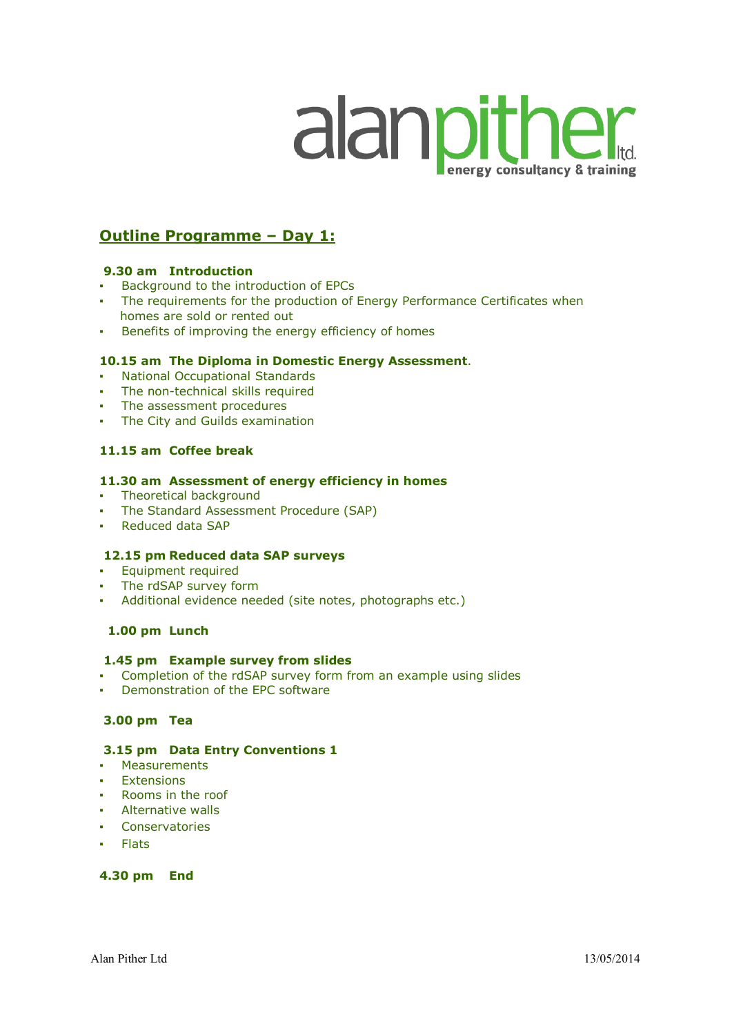# alanpither

# **Outline Programme – Day 1:**

# **9.30 am Introduction**

- Background to the introduction of EPCs
- The requirements for the production of Energy Performance Certificates when homes are sold or rented out
- Benefits of improving the energy efficiency of homes

# **10.15 am The Diploma in Domestic Energy Assessment**.

- National Occupational Standards
- The non-technical skills required
- The assessment procedures
- The City and Guilds examination

# **11.15 am Coffee break**

# **11.30 am Assessment of energy efficiency in homes**

- Theoretical background
- The Standard Assessment Procedure (SAP)
- Reduced data SAP

# **12.15 pm Reduced data SAP surveys**

- Equipment required
- The rdSAP survey form
- Additional evidence needed (site notes, photographs etc.)

# **1.00 pm Lunch**

# **1.45 pm Example survey from slides**

- Completion of the rdSAP survey form from an example using slides
- Demonstration of the EPC software

# **3.00 pm Tea**

# **3.15 pm Data Entry Conventions 1**

- Measurements
- **Extensions**
- **Rooms in the roof**
- Alternative walls
- Conservatories
- Flats

# **4.30 pm End**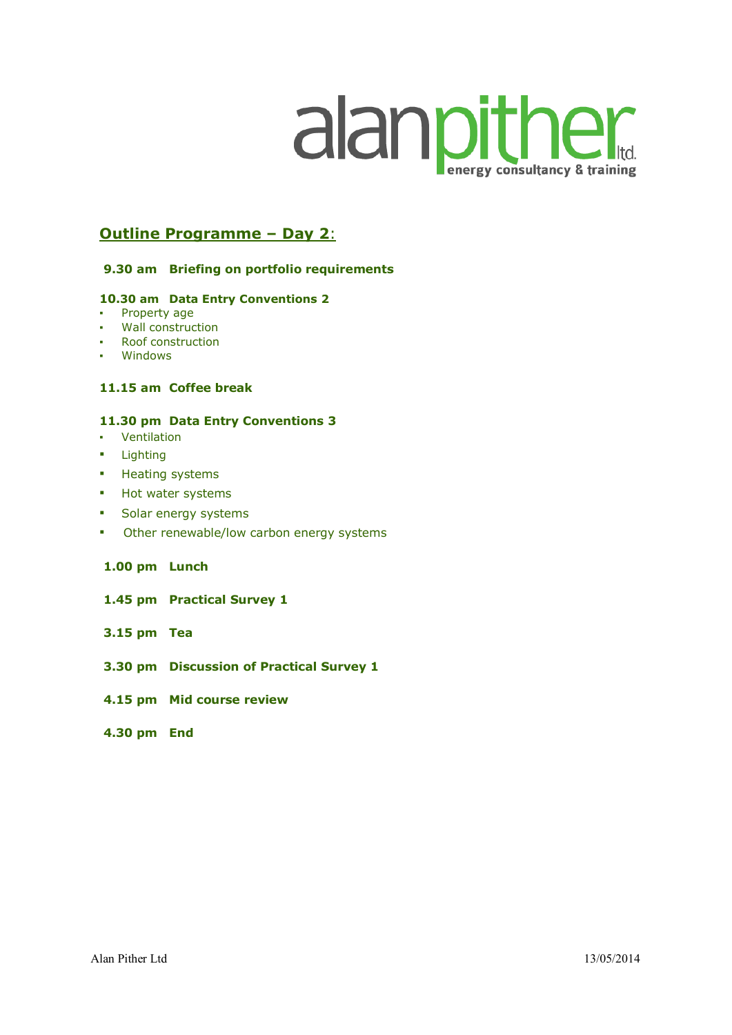# alanpither energy consultancy & training

# **Outline Programme – Day 2**:

# **9.30 am Briefing on portfolio requirements**

#### **10.30 am Data Entry Conventions 2**

- Property age
- **Wall construction**
- Roof construction
- Windows

# **11.15 am Coffee break**

#### **11.30 pm Data Entry Conventions 3**

- Ventilation
- Lighting
- Heating systems
- Hot water systems
- Solar energy systems
- **•** Other renewable/low carbon energy systems

# **1.00 pm Lunch**

- **1.45 pm Practical Survey 1**
- **3.15 pm Tea**
- **3.30 pm Discussion of Practical Survey 1**
- **4.15 pm Mid course review**
- **4.30 pm End**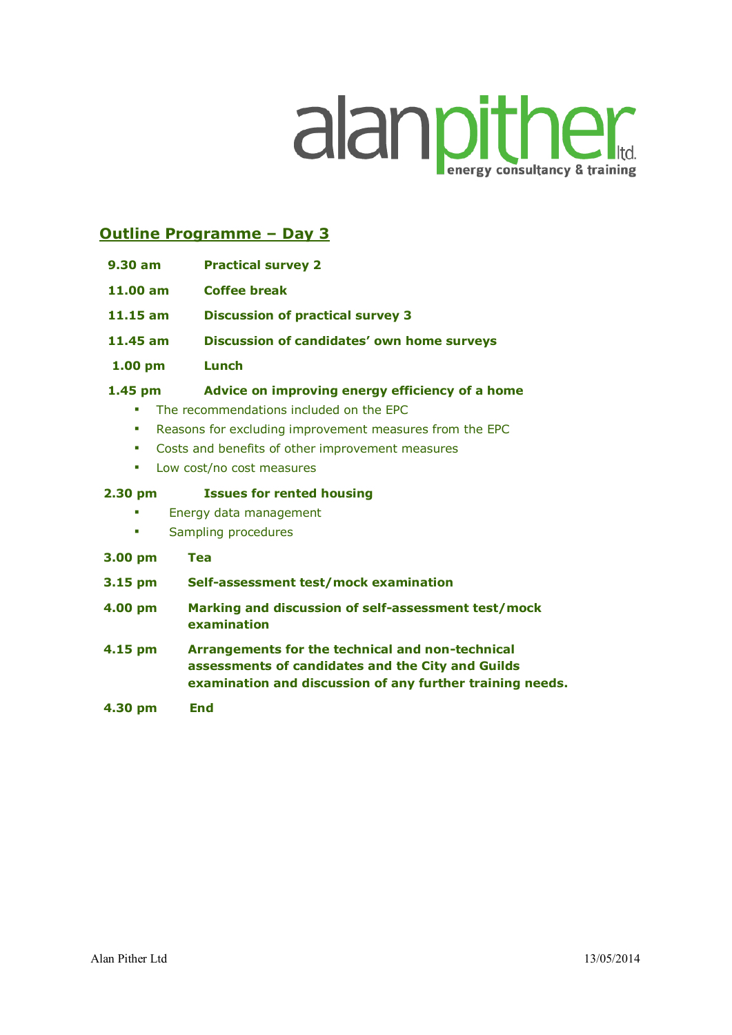# alanpither

# **Outline Programme – Day 3**

- **9.30 am Practical survey 2**
- **11.00 am Coffee break**
- **11.15 am Discussion of practical survey 3**
- **11.45 am Discussion of candidates' own home surveys**
- **1.00 pm Lunch**

# **1.45 pm Advice on improving energy efficiency of a home**

- The recommendations included on the EPC
- Reasons for excluding improvement measures from the EPC
- Costs and benefits of other improvement measures
- Low cost/no cost measures

# **2.30 pm Issues for rented housing**

- **Energy data management**
- Sampling procedures
- **3.00 pm Tea**
- **3.15 pm Self-assessment test/mock examination**
- **4.00 pm Marking and discussion of self-assessment test/mock examination**
- **4.15 pm Arrangements for the technical and non-technical assessments of candidates and the City and Guilds examination and discussion of any further training needs.**
- **4.30 pm End**